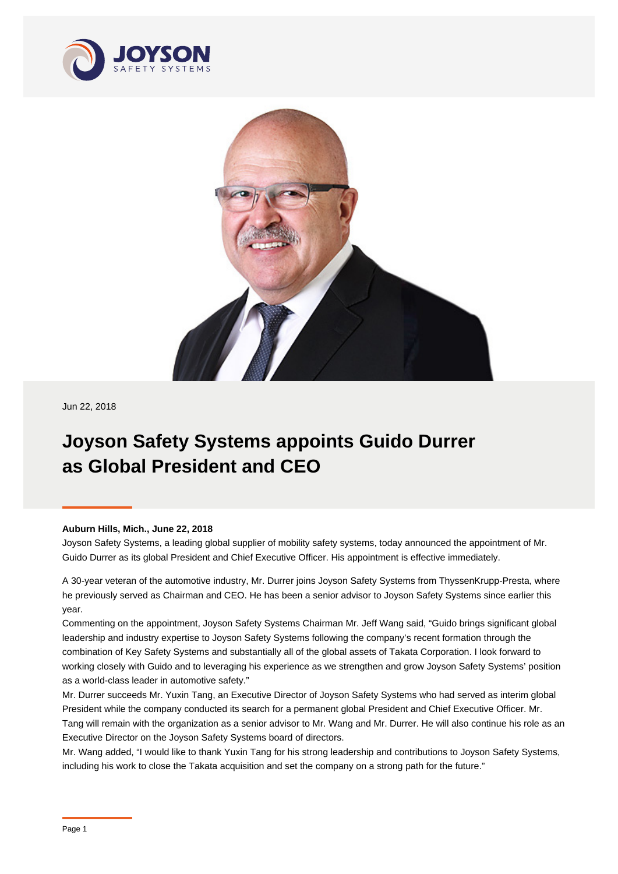



Jun 22, 2018

## **Joyson Safety Systems appoints Guido Durrer as Global President and CEO**

## **Auburn Hills, Mich., June 22, 2018**

Joyson Safety Systems, a leading global supplier of mobility safety systems, today announced the appointment of Mr. Guido Durrer as its global President and Chief Executive Officer. His appointment is effective immediately.

A 30-year veteran of the automotive industry, Mr. Durrer joins Joyson Safety Systems from ThyssenKrupp-Presta, where he previously served as Chairman and CEO. He has been a senior advisor to Joyson Safety Systems since earlier this year.

Commenting on the appointment, Joyson Safety Systems Chairman Mr. Jeff Wang said, "Guido brings significant global leadership and industry expertise to Joyson Safety Systems following the company's recent formation through the combination of Key Safety Systems and substantially all of the global assets of Takata Corporation. I look forward to working closely with Guido and to leveraging his experience as we strengthen and grow Joyson Safety Systems' position as a world-class leader in automotive safety."

Mr. Durrer succeeds Mr. Yuxin Tang, an Executive Director of Joyson Safety Systems who had served as interim global President while the company conducted its search for a permanent global President and Chief Executive Officer. Mr. Tang will remain with the organization as a senior advisor to Mr. Wang and Mr. Durrer. He will also continue his role as an Executive Director on the Joyson Safety Systems board of directors.

Mr. Wang added, "I would like to thank Yuxin Tang for his strong leadership and contributions to Joyson Safety Systems, including his work to close the Takata acquisition and set the company on a strong path for the future."